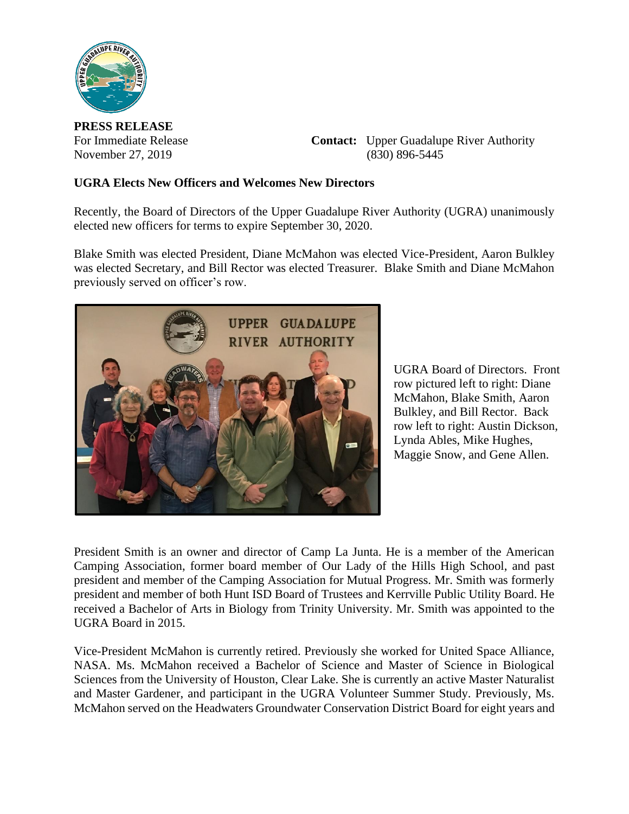

**PRESS RELEASE**

For Immediate Release **Contact:** Upper Guadalupe River Authority November 27, 2019 (830) 896-5445

## **UGRA Elects New Officers and Welcomes New Directors**

Recently, the Board of Directors of the Upper Guadalupe River Authority (UGRA) unanimously elected new officers for terms to expire September 30, 2020.

Blake Smith was elected President, Diane McMahon was elected Vice-President, Aaron Bulkley was elected Secretary, and Bill Rector was elected Treasurer. Blake Smith and Diane McMahon previously served on officer's row.



UGRA Board of Directors. Front row pictured left to right: Diane McMahon, Blake Smith, Aaron Bulkley, and Bill Rector. Back row left to right: Austin Dickson, Lynda Ables, Mike Hughes, Maggie Snow, and Gene Allen.

President Smith is an owner and director of Camp La Junta. He is a member of the American Camping Association, former board member of Our Lady of the Hills High School, and past president and member of the Camping Association for Mutual Progress. Mr. Smith was formerly president and member of both Hunt ISD Board of Trustees and Kerrville Public Utility Board. He received a Bachelor of Arts in Biology from Trinity University. Mr. Smith was appointed to the UGRA Board in 2015.

Vice-President McMahon is currently retired. Previously she worked for United Space Alliance, NASA. Ms. McMahon received a Bachelor of Science and Master of Science in Biological Sciences from the University of Houston, Clear Lake. She is currently an active Master Naturalist and Master Gardener, and participant in the UGRA Volunteer Summer Study. Previously, Ms. McMahon served on the Headwaters Groundwater Conservation District Board for eight years and